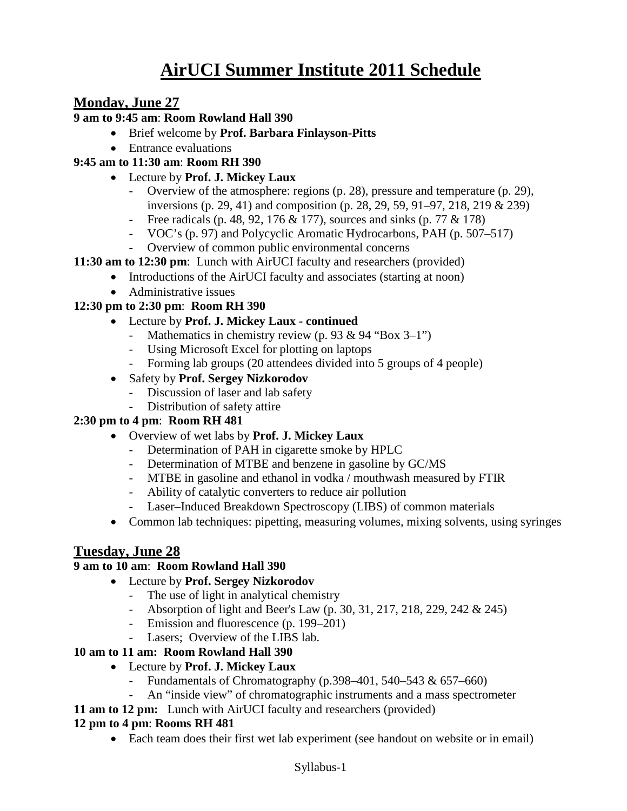# **AirUCI Summer Institute 2011 Schedule**

# **Monday, June 27**

#### **9 am to 9:45 am**: **Room Rowland Hall 390**

- Brief welcome by **Prof. Barbara Finlayson-Pitts**
- Entrance evaluations

#### **9:45 am to 11:30 am**: **Room RH 390**

- Lecture by **Prof. J. Mickey Laux**
	- Overview of the atmosphere: regions (p. 28), pressure and temperature (p. 29), inversions (p. 29, 41) and composition (p. 28, 29, 59, 91–97, 218, 219 & 239)
	- Free radicals (p. 48, 92, 176 & 177), sources and sinks (p. 77 & 178)
	- VOC's (p. 97) and Polycyclic Aromatic Hydrocarbons, PAH (p. 507–517)
	- Overview of common public environmental concerns
- **11:30 am to 12:30 pm**: Lunch with AirUCI faculty and researchers (provided)
	- Introductions of the AirUCI faculty and associates (starting at noon)
	- Administrative issues

#### **12:30 pm to 2:30 pm**: **Room RH 390**

- Lecture by **Prof. J. Mickey Laux - continued**
	- Mathematics in chemistry review (p. 93 & 94 "Box 3–1")
	- Using Microsoft Excel for plotting on laptops
	- Forming lab groups (20 attendees divided into 5 groups of 4 people)
- Safety by **Prof. Sergey Nizkorodov**
	- Discussion of laser and lab safety
	- Distribution of safety attire

#### **2:30 pm to 4 pm**: **Room RH 481**

- Overview of wet labs by **Prof. J. Mickey Laux**
	- Determination of PAH in cigarette smoke by HPLC
	- Determination of MTBE and benzene in gasoline by GC/MS
	- MTBE in gasoline and ethanol in vodka / mouthwash measured by FTIR
	- Ability of catalytic converters to reduce air pollution
	- Laser–Induced Breakdown Spectroscopy (LIBS) of common materials
- Common lab techniques: pipetting, measuring volumes, mixing solvents, using syringes

# **Tuesday, June 28**

#### **9 am to 10 am**: **Room Rowland Hall 390**

- Lecture by **Prof. Sergey Nizkorodov**
	- The use of light in analytical chemistry
	- Absorption of light and Beer's Law (p. 30, 31, 217, 218, 229, 242 & 245)
	- Emission and fluorescence (p. 199–201)
	- Lasers; Overview of the LIBS lab.

#### **10 am to 11 am: Room Rowland Hall 390**

- Lecture by **Prof. J. Mickey Laux** 
	- Fundamentals of Chromatography  $(p.398-401, 540-543 \& 657-660)$
	- An "inside view" of chromatographic instruments and a mass spectrometer
- **11 am to 12 pm:** Lunch with AirUCI faculty and researchers (provided)

#### **12 pm to 4 pm**: **Rooms RH 481**

• Each team does their first wet lab experiment (see handout on website or in email)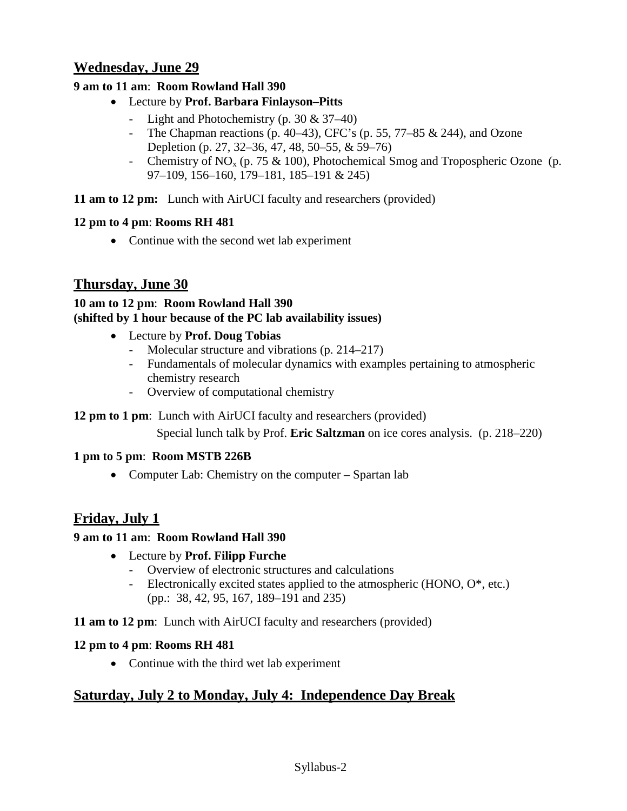# **Wednesday, June 29**

#### **9 am to 11 am**: **Room Rowland Hall 390**

- Lecture by **Prof. Barbara Finlayson–Pitts**
	- Light and Photochemistry (p. 30 & 37–40)
	- The Chapman reactions (p. 40–43), CFC's (p. 55, 77–85 & 244), and Ozone Depletion (p. 27, 32–36, 47, 48, 50–55, & 59–76)
	- Chemistry of NO<sub>x</sub> (p. 75 & 100), Photochemical Smog and Tropospheric Ozone (p. 97–109, 156–160, 179–181, 185–191 & 245)

**11 am to 12 pm:** Lunch with AirUCI faculty and researchers (provided)

#### **12 pm to 4 pm**: **Rooms RH 481**

• Continue with the second wet lab experiment

# **Thursday, June 30**

#### **10 am to 12 pm**: **Room Rowland Hall 390 (shifted by 1 hour because of the PC lab availability issues)**

- Lecture by **Prof. Doug Tobias**
	- Molecular structure and vibrations (p. 214–217)
	- Fundamentals of molecular dynamics with examples pertaining to atmospheric chemistry research
	- Overview of computational chemistry

#### **12 pm to 1 pm**: Lunch with AirUCI faculty and researchers (provided)

Special lunch talk by Prof. **Eric Saltzman** on ice cores analysis. (p. 218–220)

#### **1 pm to 5 pm**: **Room MSTB 226B**

• Computer Lab: Chemistry on the computer – Spartan lab

# **Friday, July 1**

#### **9 am to 11 am**: **Room Rowland Hall 390**

- Lecture by **Prof. Filipp Furche**
	- Overview of electronic structures and calculations
	- Electronically excited states applied to the atmospheric (HONO,  $O^*$ , etc.) (pp.: 38, 42, 95, 167, 189–191 and 235)

#### **11 am to 12 pm**: Lunch with AirUCI faculty and researchers (provided)

#### **12 pm to 4 pm**: **Rooms RH 481**

• Continue with the third wet lab experiment

# **Saturday, July 2 to Monday, July 4: Independence Day Break**